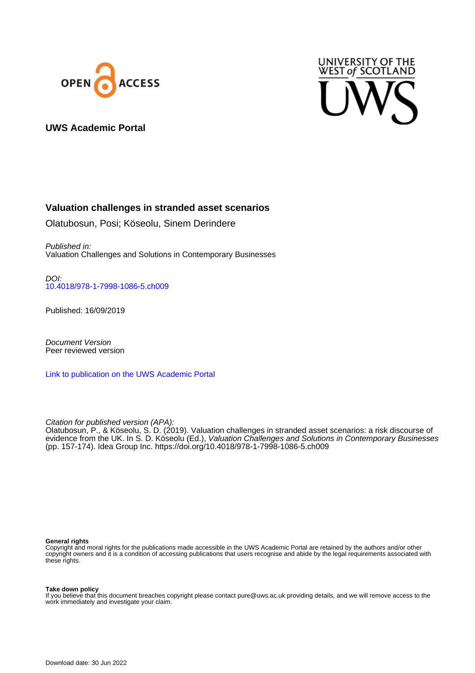



## **UWS Academic Portal**

## **Valuation challenges in stranded asset scenarios**

Olatubosun, Posi; Köseolu, Sinem Derindere

Published in: Valuation Challenges and Solutions in Contemporary Businesses

DOI: [10.4018/978-1-7998-1086-5.ch009](https://doi.org/10.4018/978-1-7998-1086-5.ch009)

Published: 16/09/2019

Document Version Peer reviewed version

[Link to publication on the UWS Academic Portal](https://uws.pure.elsevier.com/en/publications/175b6988-9c89-4135-864c-5f88ec024ccc)

Citation for published version (APA):

Olatubosun, P., & Köseolu, S. D. (2019). Valuation challenges in stranded asset scenarios: a risk discourse of evidence from the UK. In S. D. Köseolu (Ed.), *Valuation Challenges and Solutions in Contemporary Businesses* (pp. 157-174). Idea Group Inc.<https://doi.org/10.4018/978-1-7998-1086-5.ch009>

#### **General rights**

Copyright and moral rights for the publications made accessible in the UWS Academic Portal are retained by the authors and/or other copyright owners and it is a condition of accessing publications that users recognise and abide by the legal requirements associated with these rights.

#### **Take down policy**

If you believe that this document breaches copyright please contact pure@uws.ac.uk providing details, and we will remove access to the work immediately and investigate your claim.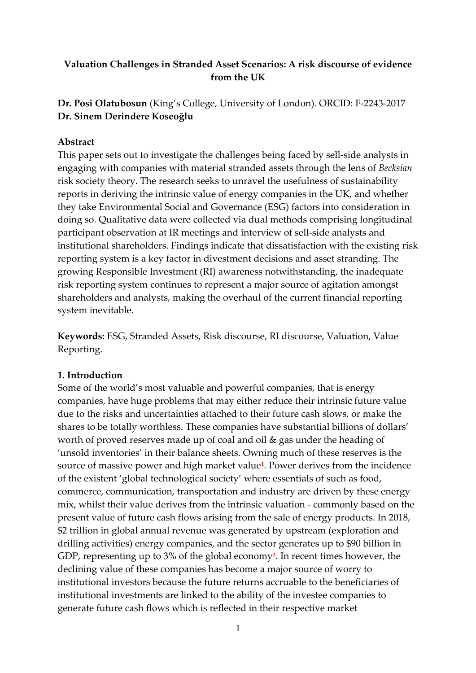# **Valuation Challenges in Stranded Asset Scenarios: A risk discourse of evidence from the UK**

# **Dr. Posi Olatubosun** (King's College, University of London). ORCID: F-2243-2017 **Dr. Sinem Derindere Koseoğlu**

# **Abstract**

This paper sets out to investigate the challenges being faced by sell-side analysts in engaging with companies with material stranded assets through the lens of *Becksian* risk society theory. The research seeks to unravel the usefulness of sustainability reports in deriving the intrinsic value of energy companies in the UK, and whether they take Environmental Social and Governance (ESG) factors into consideration in doing so. Qualitative data were collected via dual methods comprising longitudinal participant observation at IR meetings and interview of sell-side analysts and institutional shareholders. Findings indicate that dissatisfaction with the existing risk reporting system is a key factor in divestment decisions and asset stranding. The growing Responsible Investment (RI) awareness notwithstanding, the inadequate risk reporting system continues to represent a major source of agitation amongst shareholders and analysts, making the overhaul of the current financial reporting system inevitable.

**Keywords:** ESG, Stranded Assets, Risk discourse, RI discourse, Valuation, Value Reporting.

# **1. Introduction**

Some of the world's most valuable and powerful companies, that is energy companies, have huge problems that may either reduce their intrinsic future value due to the risks and uncertainties attached to their future cash slows, or make the shares to be totally worthless. These companies have substantial billions of dollars' worth of proved reserves made up of coal and oil & gas under the heading of 'unsold inventories' in their balance sheets. Owning much of these reserves is the source of massive power and high market value**<sup>1</sup>** . Power derives from the incidence of the existent 'global technological society' where essentials of such as food, commerce, communication, transportation and industry are driven by these energy mix, whilst their value derives from the intrinsic valuation - commonly based on the present value of future cash flows arising from the sale of energy products. In 2018, \$2 trillion in global annual revenue was generated by upstream (exploration and drilling activities) energy companies, and the sector generates up to \$90 billion in GDP, representing up to 3% of the global economy**<sup>2</sup>** . In recent times however, the declining value of these companies has become a major source of worry to institutional investors because the future returns accruable to the beneficiaries of institutional investments are linked to the ability of the investee companies to generate future cash flows which is reflected in their respective market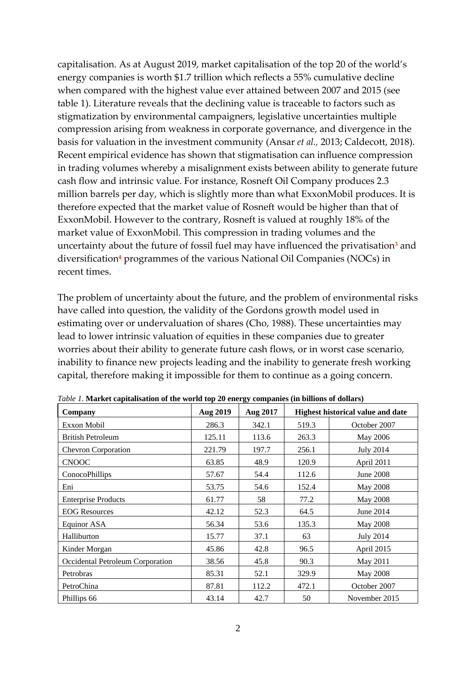capitalisation. As at August 2019, market capitalisation of the top 20 of the world's energy companies is worth \$1.7 trillion which reflects a 55% cumulative decline when compared with the highest value ever attained between 2007 and 2015 (see table 1). Literature reveals that the declining value is traceable to factors such as stigmatization by environmental campaigners, legislative uncertainties multiple compression arising from weakness in corporate governance, and divergence in the basis for valuation in the investment community (Ansar *et al.,* 2013; Caldecott, 2018). Recent empirical evidence has shown that stigmatisation can influence compression in trading volumes whereby a misalignment exists between ability to generate future cash flow and intrinsic value. For instance, Rosneft Oil Company produces 2.3 million barrels per day, which is slightly more than what ExxonMobil produces. It is therefore expected that the market value of Rosneft would be higher than that of ExxonMobil. However to the contrary, Rosneft is valued at roughly 18% of the market value of ExxonMobil. This compression in trading volumes and the uncertainty about the future of fossil fuel may have influenced the privatisation**<sup>3</sup>** and diversification**<sup>4</sup>** programmes of the various National Oil Companies (NOCs) in recent times.

The problem of uncertainty about the future, and the problem of environmental risks have called into question, the validity of the Gordons growth model used in estimating over or undervaluation of shares (Cho, 1988). These uncertainties may lead to lower intrinsic valuation of equities in these companies due to greater worries about their ability to generate future cash flows, or in worst case scenario, inability to finance new projects leading and the inability to generate fresh working capital, therefore making it impossible for them to continue as a going concern.

| Company                          | <b>Aug 2019</b> | Aug 2017 | <b>Highest historical value and date</b> |                  |  |
|----------------------------------|-----------------|----------|------------------------------------------|------------------|--|
| Exxon Mobil                      | 286.3           | 342.1    | 519.3                                    | October 2007     |  |
| <b>British Petroleum</b>         | 125.11          | 113.6    | 263.3                                    | May 2006         |  |
| <b>Chevron Corporation</b>       | 221.79          | 197.7    | 256.1                                    | <b>July 2014</b> |  |
| <b>CNOOC</b>                     | 63.85           | 48.9     | 120.9                                    | April 2011       |  |
| ConocoPhillips                   | 57.67           | 54.4     | 112.6                                    | June 2008        |  |
| Eni                              | 53.75           | 54.6     | 152.4                                    | May 2008         |  |
| <b>Enterprise Products</b>       | 61.77           | 58       | 77.2                                     | <b>May 2008</b>  |  |
| <b>EOG Resources</b>             | 42.12           | 52.3     | 64.5                                     | June 2014        |  |
| Equinor ASA                      | 56.34           | 53.6     | 135.3                                    | May 2008         |  |
| Halliburton                      | 15.77           | 37.1     | 63                                       | <b>July 2014</b> |  |
| Kinder Morgan                    | 45.86           | 42.8     | 96.5                                     | April 2015       |  |
| Occidental Petroleum Corporation | 38.56           | 45.8     | 90.3                                     | May 2011         |  |
| Petrobras                        | 85.31           | 52.1     | 329.9                                    | May 2008         |  |
| PetroChina                       | 87.81           | 112.2    | 472.1                                    | October 2007     |  |
| Phillips 66                      | 43.14           | 42.7     | 50                                       | November 2015    |  |

*Table 1.* **Market capitalisation of the world top 20 energy companies (in billions of dollars)**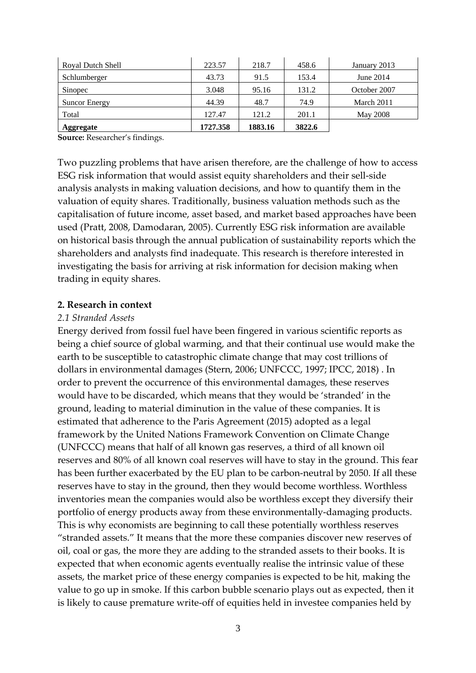| Aggregate            | 1727.358 | 1883.16 | 3822.6 |              |
|----------------------|----------|---------|--------|--------------|
| Total                | 127.47   | 121.2   | 201.1  | May 2008     |
| <b>Suncor Energy</b> | 44.39    | 48.7    | 74.9   | March 2011   |
| Sinopec              | 3.048    | 95.16   | 131.2  | October 2007 |
| Schlumberger         | 43.73    | 91.5    | 153.4  | June 2014    |
| Royal Dutch Shell    | 223.57   | 218.7   | 458.6  | January 2013 |

**Source:** Researcher's findings.

Two puzzling problems that have arisen therefore, are the challenge of how to access ESG risk information that would assist equity shareholders and their sell-side analysis analysts in making valuation decisions, and how to quantify them in the valuation of equity shares. Traditionally, business valuation methods such as the capitalisation of future income, asset based, and market based approaches have been used (Pratt, 2008, Damodaran, 2005). Currently ESG risk information are available on historical basis through the annual publication of sustainability reports which the shareholders and analysts find inadequate. This research is therefore interested in investigating the basis for arriving at risk information for decision making when trading in equity shares.

#### **2. Research in context**

### *2.1 Stranded Assets*

Energy derived from fossil fuel have been fingered in various scientific reports as being a chief source of global warming, and that their continual use would make the earth to be susceptible to catastrophic climate change that may cost trillions of dollars in environmental damages (Stern, 2006; UNFCCC, 1997; IPCC, 2018) . In order to prevent the occurrence of this environmental damages, these reserves would have to be discarded, which means that they would be 'stranded' in the ground, leading to material diminution in the value of these companies. It is estimated that adherence to the Paris Agreement (2015) adopted as a legal framework by the United Nations Framework Convention on Climate Change (UNFCCC) means that half of all known gas reserves, a third of all known oil reserves and 80% of all known coal reserves will have to stay in the ground. This fear has been further exacerbated by the EU plan to be carbon-neutral by 2050. If all these reserves have to stay in the ground, then they would become worthless. Worthless inventories mean the companies would also be worthless except they diversify their portfolio of energy products away from these environmentally-damaging products. This is why economists are beginning to call these potentially worthless reserves "stranded assets." It means that the more these companies discover new reserves of oil, coal or gas, the more they are adding to the stranded assets to their books. It is expected that when economic agents eventually realise the intrinsic value of these assets, the market price of these energy companies is expected to be hit, making the value to go up in smoke. If this carbon bubble scenario plays out as expected, then it is likely to cause premature write-off of equities held in investee companies held by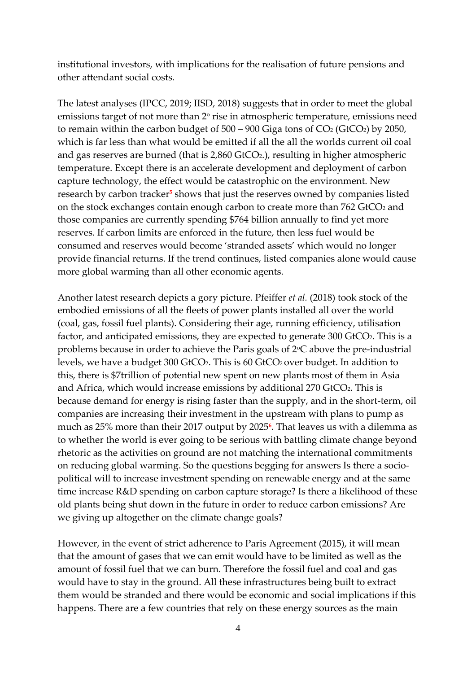institutional investors, with implications for the realisation of future pensions and other attendant social costs.

The latest analyses (IPCC, 2019; IISD, 2018) suggests that in order to meet the global emissions target of not more than  $2^{\circ}$  rise in atmospheric temperature, emissions need to remain within the carbon budget of  $500 - 900$  Giga tons of  $CO<sub>2</sub>$  (GtCO<sub>2</sub>) by 2050, which is far less than what would be emitted if all the all the worlds current oil coal and gas reserves are burned (that is 2,860 GtCO2.), resulting in higher atmospheric temperature. Except there is an accelerate development and deployment of carbon capture technology, the effect would be catastrophic on the environment. New research by carbon tracker**<sup>5</sup>** shows that just the reserves owned by companies listed on the stock exchanges contain enough carbon to create more than 762 GtCO2 and those companies are currently spending \$764 billion annually to find yet more reserves. If carbon limits are enforced in the future, then less fuel would be consumed and reserves would become 'stranded assets' which would no longer provide financial returns. If the trend continues, listed companies alone would cause more global warming than all other economic agents.

Another latest research depicts a gory picture. Pfeiffer *et al.* (2018) took stock of the embodied emissions of all the fleets of power plants installed all over the world (coal, gas, fossil fuel plants). Considering their age, running efficiency, utilisation factor, and anticipated emissions, they are expected to generate 300 GtCO<sub>2</sub>. This is a problems because in order to achieve the Paris goals of 2°C above the pre-industrial levels, we have a budget 300 GtCO2. This is 60 GtCO<sup>2</sup> over budget. In addition to this, there is \$7trillion of potential new spent on new plants most of them in Asia and Africa, which would increase emissions by additional 270 GtCO<sub>2</sub>. This is because demand for energy is rising faster than the supply, and in the short-term, oil companies are increasing their investment in the upstream with plans to pump as much as 25% more than their 2017 output by 2025**<sup>6</sup>** . That leaves us with a dilemma as to whether the world is ever going to be serious with battling climate change beyond rhetoric as the activities on ground are not matching the international commitments on reducing global warming. So the questions begging for answers Is there a sociopolitical will to increase investment spending on renewable energy and at the same time increase R&D spending on carbon capture storage? Is there a likelihood of these old plants being shut down in the future in order to reduce carbon emissions? Are we giving up altogether on the climate change goals?

However, in the event of strict adherence to Paris Agreement (2015), it will mean that the amount of gases that we can emit would have to be limited as well as the amount of fossil fuel that we can burn. Therefore the fossil fuel and coal and gas would have to stay in the ground. All these infrastructures being built to extract them would be stranded and there would be economic and social implications if this happens. There are a few countries that rely on these energy sources as the main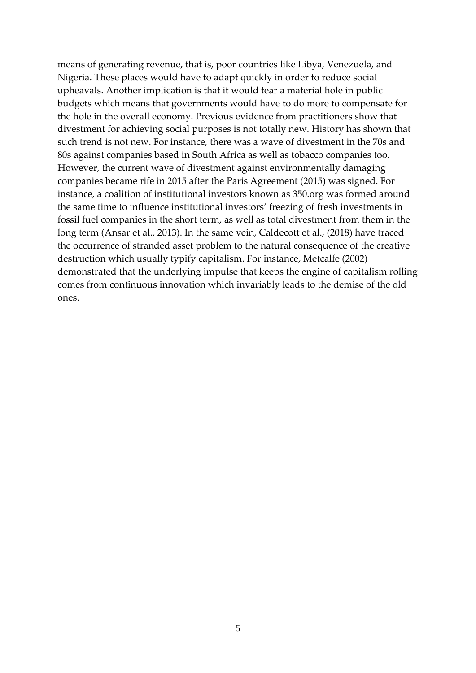means of generating revenue, that is, poor countries like Libya, Venezuela, and Nigeria. These places would have to adapt quickly in order to reduce social upheavals. Another implication is that it would tear a material hole in public budgets which means that governments would have to do more to compensate for the hole in the overall economy. Previous evidence from practitioners show that divestment for achieving social purposes is not totally new. History has shown that such trend is not new. For instance, there was a wave of divestment in the 70s and 80s against companies based in South Africa as well as tobacco companies too. However, the current wave of divestment against environmentally damaging companies became rife in 2015 after the Paris Agreement (2015) was signed. For instance, a coalition of institutional investors known as 350.org was formed around the same time to influence institutional investors' freezing of fresh investments in fossil fuel companies in the short term, as well as total divestment from them in the long term (Ansar et al., 2013). In the same vein, Caldecott et al., (2018) have traced the occurrence of stranded asset problem to the natural consequence of the creative destruction which usually typify capitalism. For instance, Metcalfe (2002) demonstrated that the underlying impulse that keeps the engine of capitalism rolling comes from continuous innovation which invariably leads to the demise of the old ones.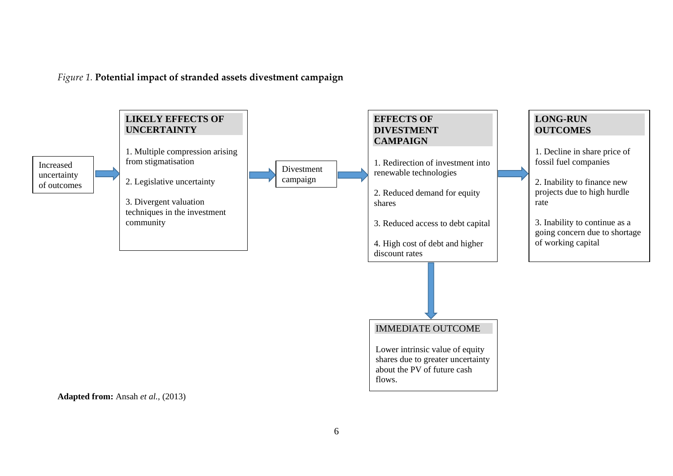*Figure 1.* **Potential impact of stranded assets divestment campaign**

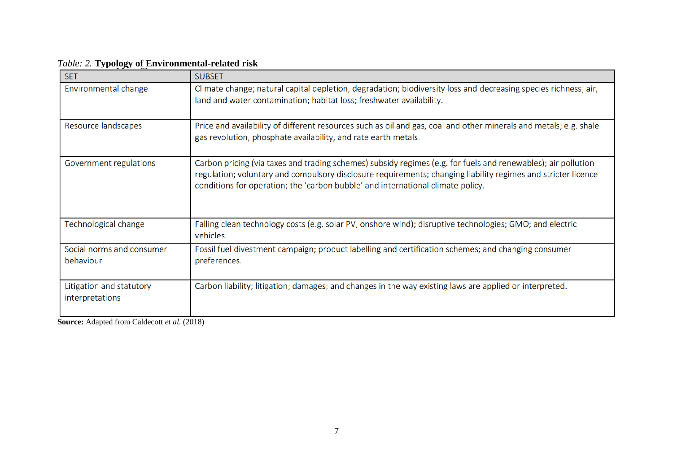| <b>SET</b>                                  | <b>SUBSET</b>                                                                                                                                                                                                                                                                                                     |
|---------------------------------------------|-------------------------------------------------------------------------------------------------------------------------------------------------------------------------------------------------------------------------------------------------------------------------------------------------------------------|
| Environmental change                        | Climate change; natural capital depletion, degradation; biodiversity loss and decreasing species richness; air,<br>land and water contamination; habitat loss; freshwater availability.                                                                                                                           |
| Resource landscapes                         | Price and availability of different resources such as oil and gas, coal and other minerals and metals; e.g. shale<br>gas revolution, phosphate availability, and rate earth metals.                                                                                                                               |
| Government regulations                      | Carbon pricing (via taxes and trading schemes) subsidy regimes (e.g. for fuels and renewables); air pollution<br>regulation; voluntary and compulsory disclosure requirements; changing liability regimes and stricter licence<br>conditions for operation; the 'carbon bubble' and international climate policy. |
| Technological change                        | Falling clean technology costs (e.g. solar PV, onshore wind); disruptive technologies; GMO; and electric<br>vehicles.                                                                                                                                                                                             |
| Social norms and consumer<br>behaviour      | Fossil fuel divestment campaign; product labelling and certification schemes; and changing consumer<br>preferences.                                                                                                                                                                                               |
| Litigation and statutory<br>interpretations | Carbon liability; litigation; damages; and changes in the way existing laws are applied or interpreted.                                                                                                                                                                                                           |

# *Table: 2.* **Typology of Environmental-related risk**

**Source:** Adapted from Caldecott *et al.* (2018)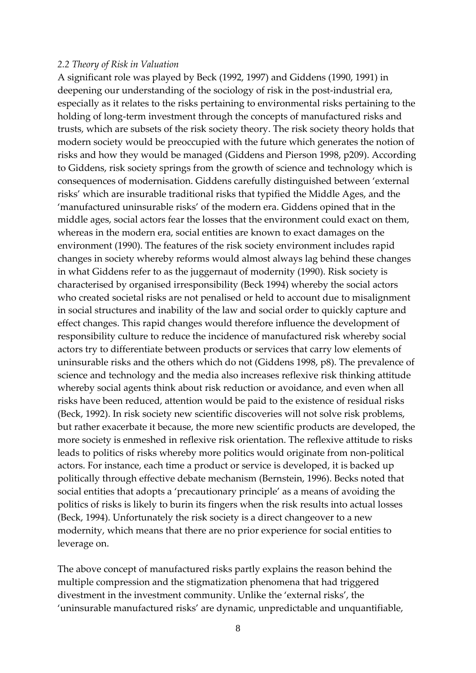#### *2.2 Theory of Risk in Valuation*

A significant role was played by Beck (1992, 1997) and Giddens (1990, 1991) in deepening our understanding of the sociology of risk in the post-industrial era, especially as it relates to the risks pertaining to environmental risks pertaining to the holding of long-term investment through the concepts of manufactured risks and trusts, which are subsets of the risk society theory. The risk society theory holds that modern society would be preoccupied with the future which generates the notion of risks and how they would be managed (Giddens and Pierson 1998, p209). According to Giddens, risk society springs from the growth of science and technology which is consequences of modernisation. Giddens carefully distinguished between 'external risks' which are insurable traditional risks that typified the Middle Ages, and the 'manufactured uninsurable risks' of the modern era. Giddens opined that in the middle ages, social actors fear the losses that the environment could exact on them, whereas in the modern era, social entities are known to exact damages on the environment (1990). The features of the risk society environment includes rapid changes in society whereby reforms would almost always lag behind these changes in what Giddens refer to as the juggernaut of modernity (1990). Risk society is characterised by organised irresponsibility (Beck 1994) whereby the social actors who created societal risks are not penalised or held to account due to misalignment in social structures and inability of the law and social order to quickly capture and effect changes. This rapid changes would therefore influence the development of responsibility culture to reduce the incidence of manufactured risk whereby social actors try to differentiate between products or services that carry low elements of uninsurable risks and the others which do not (Giddens 1998, p8). The prevalence of science and technology and the media also increases reflexive risk thinking attitude whereby social agents think about risk reduction or avoidance, and even when all risks have been reduced, attention would be paid to the existence of residual risks (Beck, 1992). In risk society new scientific discoveries will not solve risk problems, but rather exacerbate it because, the more new scientific products are developed, the more society is enmeshed in reflexive risk orientation. The reflexive attitude to risks leads to politics of risks whereby more politics would originate from non-political actors. For instance, each time a product or service is developed, it is backed up politically through effective debate mechanism (Bernstein, 1996). Becks noted that social entities that adopts a 'precautionary principle' as a means of avoiding the politics of risks is likely to burin its fingers when the risk results into actual losses (Beck, 1994). Unfortunately the risk society is a direct changeover to a new modernity, which means that there are no prior experience for social entities to leverage on.

The above concept of manufactured risks partly explains the reason behind the multiple compression and the stigmatization phenomena that had triggered divestment in the investment community. Unlike the 'external risks', the 'uninsurable manufactured risks' are dynamic, unpredictable and unquantifiable,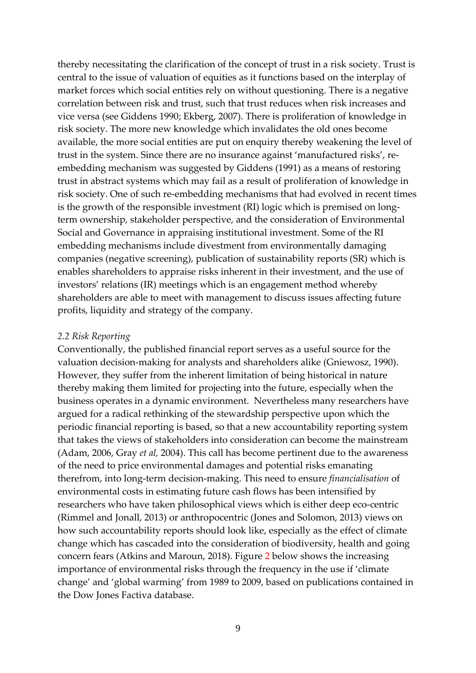thereby necessitating the clarification of the concept of trust in a risk society. Trust is central to the issue of valuation of equities as it functions based on the interplay of market forces which social entities rely on without questioning. There is a negative correlation between risk and trust, such that trust reduces when risk increases and vice versa (see Giddens 1990; Ekberg, 2007). There is proliferation of knowledge in risk society. The more new knowledge which invalidates the old ones become available, the more social entities are put on enquiry thereby weakening the level of trust in the system. Since there are no insurance against 'manufactured risks', reembedding mechanism was suggested by Giddens (1991) as a means of restoring trust in abstract systems which may fail as a result of proliferation of knowledge in risk society. One of such re-embedding mechanisms that had evolved in recent times is the growth of the responsible investment (RI) logic which is premised on longterm ownership, stakeholder perspective, and the consideration of Environmental Social and Governance in appraising institutional investment. Some of the RI embedding mechanisms include divestment from environmentally damaging companies (negative screening), publication of sustainability reports (SR) which is enables shareholders to appraise risks inherent in their investment, and the use of investors' relations (IR) meetings which is an engagement method whereby shareholders are able to meet with management to discuss issues affecting future profits, liquidity and strategy of the company.

### *2.2 Risk Reporting*

Conventionally, the published financial report serves as a useful source for the valuation decision-making for analysts and shareholders alike (Gniewosz, 1990). However, they suffer from the inherent limitation of being historical in nature thereby making them limited for projecting into the future, especially when the business operates in a dynamic environment. Nevertheless many researchers have argued for a radical rethinking of the stewardship perspective upon which the periodic financial reporting is based, so that a new accountability reporting system that takes the views of stakeholders into consideration can become the mainstream (Adam, 2006, Gray *et al,* 2004). This call has become pertinent due to the awareness of the need to price environmental damages and potential risks emanating therefrom, into long-term decision-making. This need to ensure *financialisation* of environmental costs in estimating future cash flows has been intensified by researchers who have taken philosophical views which is either deep eco-centric (Rimmel and Jonall, 2013) or anthropocentric (Jones and Solomon, 2013) views on how such accountability reports should look like, especially as the effect of climate change which has cascaded into the consideration of biodiversity, health and going concern fears (Atkins and Maroun, 2018). Figure 2 below shows the increasing importance of environmental risks through the frequency in the use if 'climate change' and 'global warming' from 1989 to 2009, based on publications contained in the Dow Jones Factiva database.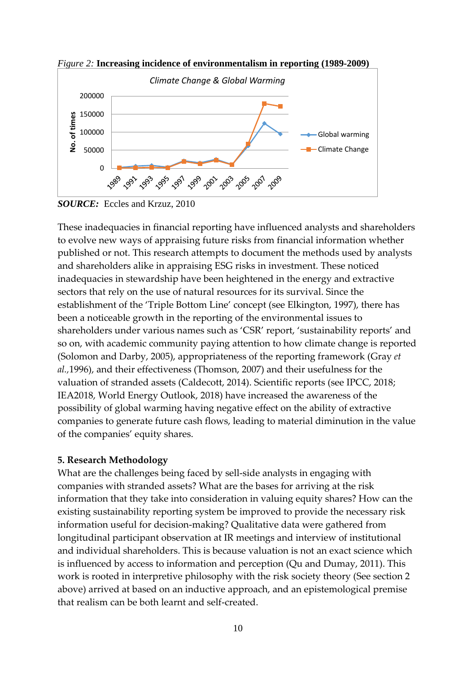

*Figure 2:* **Increasing incidence of environmentalism in reporting (1989-2009)**

These inadequacies in financial reporting have influenced analysts and shareholders to evolve new ways of appraising future risks from financial information whether published or not. This research attempts to document the methods used by analysts and shareholders alike in appraising ESG risks in investment. These noticed inadequacies in stewardship have been heightened in the energy and extractive sectors that rely on the use of natural resources for its survival. Since the establishment of the 'Triple Bottom Line' concept (see Elkington, 1997), there has been a noticeable growth in the reporting of the environmental issues to shareholders under various names such as 'CSR' report, 'sustainability reports' and so on, with academic community paying attention to how climate change is reported (Solomon and Darby, 2005), appropriateness of the reporting framework (Gray *et al.,*1996), and their effectiveness (Thomson, 2007) and their usefulness for the valuation of stranded assets (Caldecott, 2014). Scientific reports (see IPCC, 2018; IEA2018, World Energy Outlook, 2018) have increased the awareness of the possibility of global warming having negative effect on the ability of extractive companies to generate future cash flows, leading to material diminution in the value of the companies' equity shares.

# **5. Research Methodology**

What are the challenges being faced by sell-side analysts in engaging with companies with stranded assets? What are the bases for arriving at the risk information that they take into consideration in valuing equity shares? How can the existing sustainability reporting system be improved to provide the necessary risk information useful for decision-making? Qualitative data were gathered from longitudinal participant observation at IR meetings and interview of institutional and individual shareholders. This is because valuation is not an exact science which is influenced by access to information and perception (Qu and Dumay, 2011). This work is rooted in interpretive philosophy with the risk society theory (See section 2 above) arrived at based on an inductive approach, and an epistemological premise that realism can be both learnt and self-created.

*SOURCE:* Eccles and Krzuz, 2010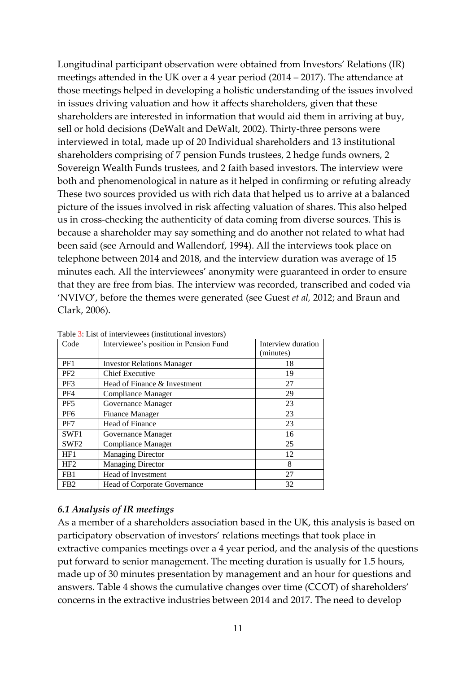Longitudinal participant observation were obtained from Investors' Relations (IR) meetings attended in the UK over a 4 year period (2014 – 2017). The attendance at those meetings helped in developing a holistic understanding of the issues involved in issues driving valuation and how it affects shareholders, given that these shareholders are interested in information that would aid them in arriving at buy, sell or hold decisions (DeWalt and DeWalt, 2002). Thirty-three persons were interviewed in total, made up of 20 Individual shareholders and 13 institutional shareholders comprising of 7 pension Funds trustees, 2 hedge funds owners, 2 Sovereign Wealth Funds trustees, and 2 faith based investors. The interview were both and phenomenological in nature as it helped in confirming or refuting already These two sources provided us with rich data that helped us to arrive at a balanced picture of the issues involved in risk affecting valuation of shares. This also helped us in cross-checking the authenticity of data coming from diverse sources. This is because a shareholder may say something and do another not related to what had been said (see Arnould and Wallendorf, 1994). All the interviews took place on telephone between 2014 and 2018, and the interview duration was average of 15 minutes each. All the interviewees' anonymity were guaranteed in order to ensure that they are free from bias. The interview was recorded, transcribed and coded via 'NVIVO', before the themes were generated (see Guest *et al,* 2012; and Braun and Clark, 2006).

| Code             | Interviewee's position in Pension Fund | Interview duration<br>(minutes) |
|------------------|----------------------------------------|---------------------------------|
| PF1              | <b>Investor Relations Manager</b>      | 18                              |
| PF <sub>2</sub>  | <b>Chief Executive</b>                 | 19                              |
| PF3              | Head of Finance & Investment           | 27                              |
| PF4              | Compliance Manager                     | 29                              |
| PF <sub>5</sub>  | Governance Manager                     | 23                              |
| PF <sub>6</sub>  | <b>Finance Manager</b>                 | 23                              |
| PF7              | <b>Head of Finance</b>                 | 23                              |
| SWF1             | Governance Manager                     | 16                              |
| SWF <sub>2</sub> | <b>Compliance Manager</b>              | 25                              |
| HF1              | <b>Managing Director</b>               | 12                              |
| HF <sub>2</sub>  | <b>Managing Director</b>               | 8                               |
| FB <sub>1</sub>  | Head of Investment                     | 27                              |
| F <sub>B2</sub>  | <b>Head of Corporate Governance</b>    | 32                              |

Table 3: List of interviewees (institutional investors)

#### *6.1 Analysis of IR meetings*

As a member of a shareholders association based in the UK, this analysis is based on participatory observation of investors' relations meetings that took place in extractive companies meetings over a 4 year period, and the analysis of the questions put forward to senior management. The meeting duration is usually for 1.5 hours, made up of 30 minutes presentation by management and an hour for questions and answers. Table 4 shows the cumulative changes over time (CCOT) of shareholders' concerns in the extractive industries between 2014 and 2017. The need to develop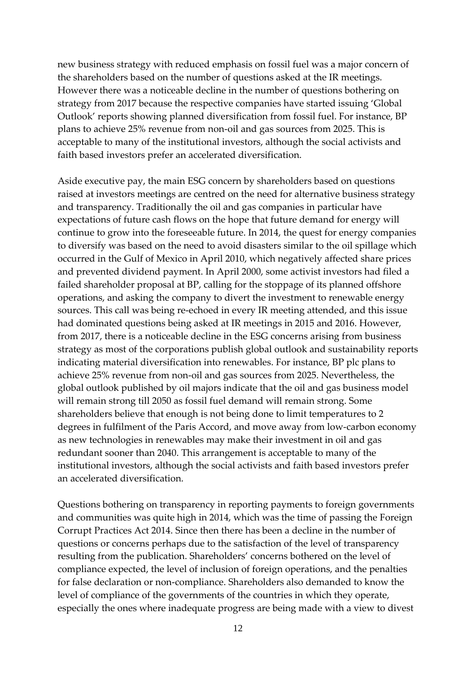new business strategy with reduced emphasis on fossil fuel was a major concern of the shareholders based on the number of questions asked at the IR meetings. However there was a noticeable decline in the number of questions bothering on strategy from 2017 because the respective companies have started issuing 'Global Outlook' reports showing planned diversification from fossil fuel. For instance, BP plans to achieve 25% revenue from non-oil and gas sources from 2025. This is acceptable to many of the institutional investors, although the social activists and faith based investors prefer an accelerated diversification.

Aside executive pay, the main ESG concern by shareholders based on questions raised at investors meetings are centred on the need for alternative business strategy and transparency. Traditionally the oil and gas companies in particular have expectations of future cash flows on the hope that future demand for energy will continue to grow into the foreseeable future. In 2014, the quest for energy companies to diversify was based on the need to avoid disasters similar to the oil spillage which occurred in the Gulf of Mexico in April 2010, which negatively affected share prices and prevented dividend payment. In April 2000, some activist investors had filed a failed shareholder proposal at BP, calling for the stoppage of its planned offshore operations, and asking the company to divert the investment to renewable energy sources. This call was being re-echoed in every IR meeting attended, and this issue had dominated questions being asked at IR meetings in 2015 and 2016. However, from 2017, there is a noticeable decline in the ESG concerns arising from business strategy as most of the corporations publish global outlook and sustainability reports indicating material diversification into renewables. For instance, BP plc plans to achieve 25% revenue from non-oil and gas sources from 2025. Nevertheless, the global outlook published by oil majors indicate that the oil and gas business model will remain strong till 2050 as fossil fuel demand will remain strong. Some shareholders believe that enough is not being done to limit temperatures to 2 degrees in fulfilment of the Paris Accord, and move away from low-carbon economy as new technologies in renewables may make their investment in oil and gas redundant sooner than 2040. This arrangement is acceptable to many of the institutional investors, although the social activists and faith based investors prefer an accelerated diversification.

Questions bothering on transparency in reporting payments to foreign governments and communities was quite high in 2014, which was the time of passing the Foreign Corrupt Practices Act 2014. Since then there has been a decline in the number of questions or concerns perhaps due to the satisfaction of the level of transparency resulting from the publication. Shareholders' concerns bothered on the level of compliance expected, the level of inclusion of foreign operations, and the penalties for false declaration or non-compliance. Shareholders also demanded to know the level of compliance of the governments of the countries in which they operate, especially the ones where inadequate progress are being made with a view to divest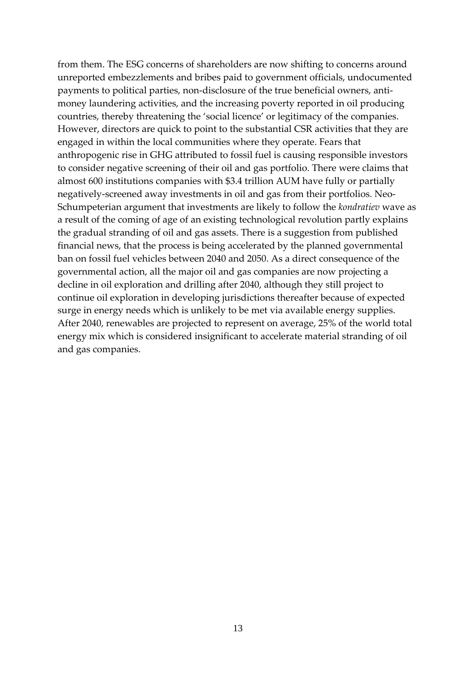from them. The ESG concerns of shareholders are now shifting to concerns around unreported embezzlements and bribes paid to government officials, undocumented payments to political parties, non-disclosure of the true beneficial owners, antimoney laundering activities, and the increasing poverty reported in oil producing countries, thereby threatening the 'social licence' or legitimacy of the companies. However, directors are quick to point to the substantial CSR activities that they are engaged in within the local communities where they operate. Fears that anthropogenic rise in GHG attributed to fossil fuel is causing responsible investors to consider negative screening of their oil and gas portfolio. There were claims that almost 600 institutions companies with \$3.4 trillion AUM have fully or partially negatively-screened away investments in oil and gas from their portfolios. Neo-Schumpeterian argument that investments are likely to follow the *kondratiev* wave as a result of the coming of age of an existing technological revolution partly explains the gradual stranding of oil and gas assets. There is a suggestion from published financial news, that the process is being accelerated by the planned governmental ban on fossil fuel vehicles between 2040 and 2050. As a direct consequence of the governmental action, all the major oil and gas companies are now projecting a decline in oil exploration and drilling after 2040, although they still project to continue oil exploration in developing jurisdictions thereafter because of expected surge in energy needs which is unlikely to be met via available energy supplies. After 2040, renewables are projected to represent on average, 25% of the world total energy mix which is considered insignificant to accelerate material stranding of oil and gas companies.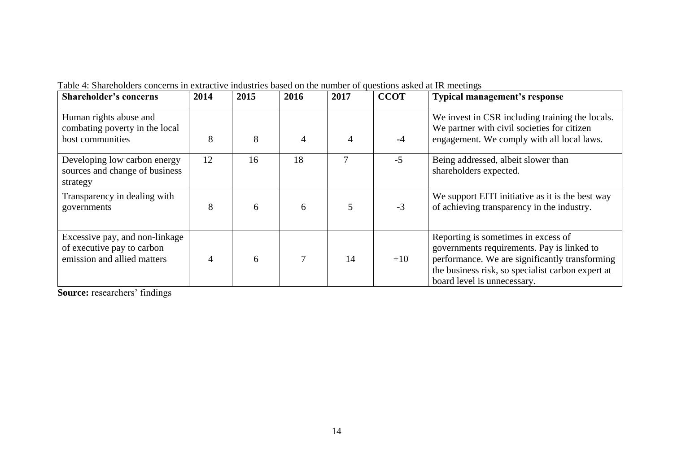| <b>Shareholder's concerns</b>                                                               | 2014 | 2015 | 2016           | 2017           | <b>CCOT</b> | <b>Typical management's response</b>                                                                                                                                                                                    |
|---------------------------------------------------------------------------------------------|------|------|----------------|----------------|-------------|-------------------------------------------------------------------------------------------------------------------------------------------------------------------------------------------------------------------------|
| Human rights abuse and<br>combating poverty in the local<br>host communities                | 8    | 8    | $\overline{4}$ | $\overline{4}$ | $-4$        | We invest in CSR including training the locals.<br>We partner with civil societies for citizen<br>engagement. We comply with all local laws.                                                                            |
| Developing low carbon energy<br>sources and change of business<br>strategy                  | 12   | 16   | 18             |                | $-5$        | Being addressed, albeit slower than<br>shareholders expected.                                                                                                                                                           |
| Transparency in dealing with<br>governments                                                 | 8    | 6    | 6              | 5              | $-3$        | We support EITI initiative as it is the best way<br>of achieving transparency in the industry.                                                                                                                          |
| Excessive pay, and non-linkage<br>of executive pay to carbon<br>emission and allied matters | 4    | 6    | $\overline{7}$ | 14             | $+10$       | Reporting is sometimes in excess of<br>governments requirements. Pay is linked to<br>performance. We are significantly transforming<br>the business risk, so specialist carbon expert at<br>board level is unnecessary. |

Table 4: Shareholders concerns in extractive industries based on the number of questions asked at IR meetings

**Source:** researchers' findings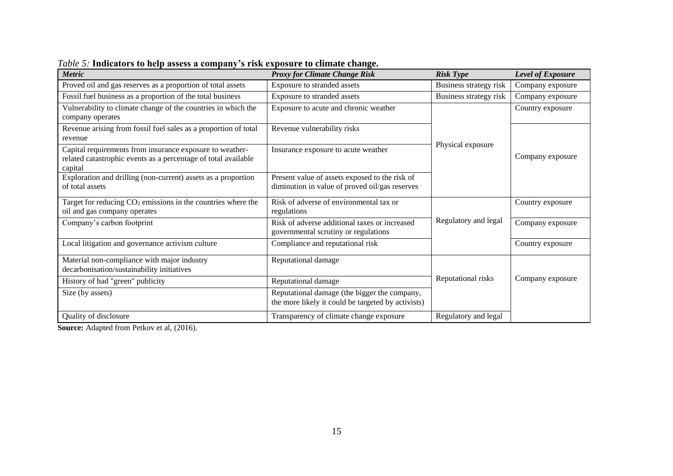| <b>Metric</b>                                                                                                                         | <b>Proxy for Climate Change Risk</b>                                                               | <b>Risk Type</b>       | Level of Exposure |
|---------------------------------------------------------------------------------------------------------------------------------------|----------------------------------------------------------------------------------------------------|------------------------|-------------------|
| Proved oil and gas reserves as a proportion of total assets                                                                           | Exposure to stranded assets                                                                        | Business strategy risk | Company exposure  |
| Fossil fuel business as a proportion of the total business                                                                            | Exposure to stranded assets                                                                        | Business strategy risk | Company exposure  |
| Vulnerability to climate change of the countries in which the<br>company operates                                                     | Exposure to acute and chronic weather                                                              |                        | Country exposure  |
| Revenue arising from fossil fuel sales as a proportion of total<br>revenue                                                            | Revenue vulnerability risks                                                                        |                        |                   |
| Capital requirements from insurance exposure to weather-<br>related catastrophic events as a percentage of total available<br>capital | Insurance exposure to acute weather                                                                | Physical exposure      | Company exposure  |
| Exploration and drilling (non-current) assets as a proportion<br>of total assets                                                      | Present value of assets exposed to the risk of<br>diminution in value of proved oil/gas reserves   |                        |                   |
| Target for reducing $CO2$ emissions in the countries where the<br>oil and gas company operates                                        | Risk of adverse of environmental tax or<br>regulations                                             |                        | Country exposure  |
| Company's carbon footprint                                                                                                            | Risk of adverse additional taxes or increased<br>governmental scrutiny or regulations              | Regulatory and legal   | Company exposure  |
| Local litigation and governance activism culture                                                                                      | Compliance and reputational risk                                                                   |                        | Country exposure  |
| Material non-compliance with major industry<br>decarbonisation/sustainability initiatives                                             | Reputational damage                                                                                |                        |                   |
| Reputational damage<br>History of bad "green" publicity                                                                               |                                                                                                    | Reputational risks     | Company exposure  |
| Size (by assets)                                                                                                                      | Reputational damage (the bigger the company,<br>the more likely it could be targeted by activists) |                        |                   |
| Quality of disclosure                                                                                                                 | Transparency of climate change exposure                                                            | Regulatory and legal   |                   |

*Table 5:* **Indicators to help assess a company's risk exposure to climate change.** 

**Source:** Adapted from Petkov et al, (2016).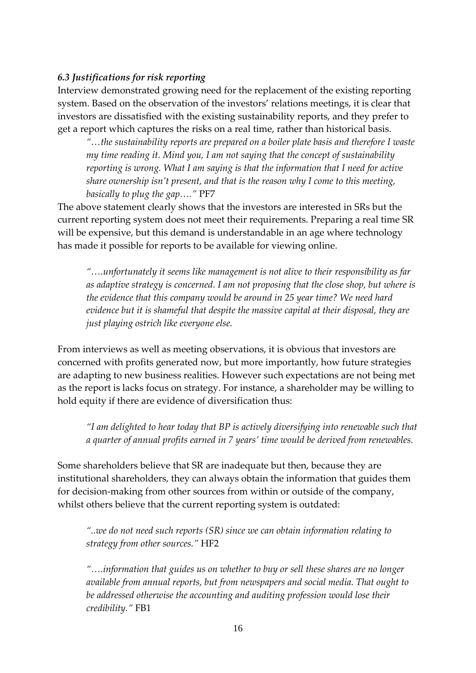# *6.3 Justifications for risk reporting*

Interview demonstrated growing need for the replacement of the existing reporting system. Based on the observation of the investors' relations meetings, it is clear that investors are dissatisfied with the existing sustainability reports, and they prefer to get a report which captures the risks on a real time, rather than historical basis.

*"…the sustainability reports are prepared on a boiler plate basis and therefore I waste my time reading it. Mind you, I am not saying that the concept of sustainability reporting is wrong. What I am saying is that the information that I need for active share ownership isn't present, and that is the reason why I come to this meeting, basically to plug the gap…."* PF7

The above statement clearly shows that the investors are interested in SRs but the current reporting system does not meet their requirements. Preparing a real time SR will be expensive, but this demand is understandable in an age where technology has made it possible for reports to be available for viewing online.

*"….unfortunately it seems like management is not alive to their responsibility as far as adaptive strategy is concerned. I am not proposing that the close shop, but where is the evidence that this company would be around in 25 year time? We need hard evidence but it is shameful that despite the massive capital at their disposal, they are just playing ostrich like everyone else.* 

From interviews as well as meeting observations, it is obvious that investors are concerned with profits generated now, but more importantly, how future strategies are adapting to new business realities. However such expectations are not being met as the report is lacks focus on strategy. For instance, a shareholder may be willing to hold equity if there are evidence of diversification thus:

*"I am delighted to hear today that BP is actively diversifying into renewable such that a quarter of annual profits earned in 7 years' time would be derived from renewables.* 

Some shareholders believe that SR are inadequate but then, because they are institutional shareholders, they can always obtain the information that guides them for decision-making from other sources from within or outside of the company, whilst others believe that the current reporting system is outdated:

*"..we do not need such reports (SR) since we can obtain information relating to strategy from other sources."* HF2

*"….information that guides us on whether to buy or sell these shares are no longer available from annual reports, but from newspapers and social media. That ought to be addressed otherwise the accounting and auditing profession would lose their credibility."* FB1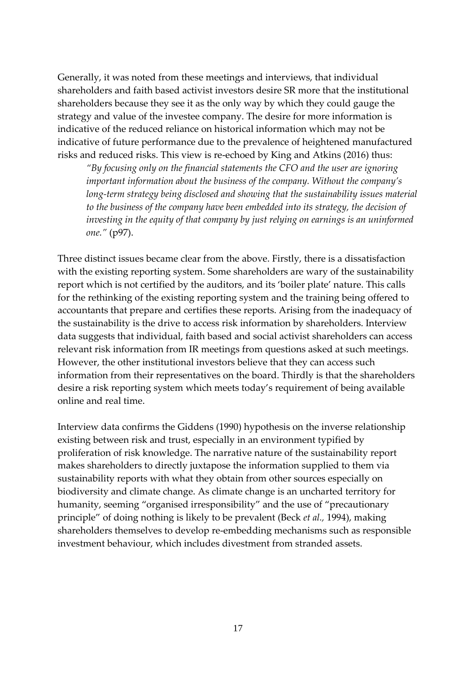Generally, it was noted from these meetings and interviews, that individual shareholders and faith based activist investors desire SR more that the institutional shareholders because they see it as the only way by which they could gauge the strategy and value of the investee company. The desire for more information is indicative of the reduced reliance on historical information which may not be indicative of future performance due to the prevalence of heightened manufactured risks and reduced risks. This view is re-echoed by King and Atkins (2016) thus:

*"By focusing only on the financial statements the CFO and the user are ignoring important information about the business of the company. Without the company's long-term strategy being disclosed and showing that the sustainability issues material to the business of the company have been embedded into its strategy, the decision of investing in the equity of that company by just relying on earnings is an uninformed one."* (p97).

Three distinct issues became clear from the above. Firstly, there is a dissatisfaction with the existing reporting system. Some shareholders are wary of the sustainability report which is not certified by the auditors, and its 'boiler plate' nature. This calls for the rethinking of the existing reporting system and the training being offered to accountants that prepare and certifies these reports. Arising from the inadequacy of the sustainability is the drive to access risk information by shareholders. Interview data suggests that individual, faith based and social activist shareholders can access relevant risk information from IR meetings from questions asked at such meetings. However, the other institutional investors believe that they can access such information from their representatives on the board. Thirdly is that the shareholders desire a risk reporting system which meets today's requirement of being available online and real time.

Interview data confirms the Giddens (1990) hypothesis on the inverse relationship existing between risk and trust, especially in an environment typified by proliferation of risk knowledge. The narrative nature of the sustainability report makes shareholders to directly juxtapose the information supplied to them via sustainability reports with what they obtain from other sources especially on biodiversity and climate change. As climate change is an uncharted territory for humanity, seeming "organised irresponsibility" and the use of "precautionary principle" of doing nothing is likely to be prevalent (Beck *et al.,* 1994), making shareholders themselves to develop re-embedding mechanisms such as responsible investment behaviour, which includes divestment from stranded assets.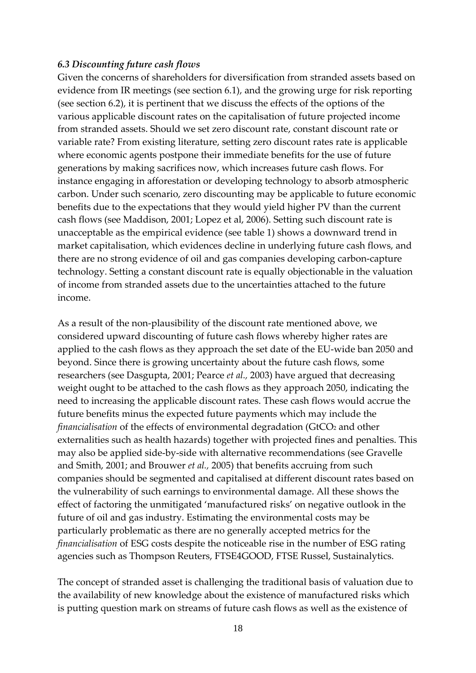### *6.3 Discounting future cash flows*

Given the concerns of shareholders for diversification from stranded assets based on evidence from IR meetings (see section 6.1), and the growing urge for risk reporting (see section 6.2), it is pertinent that we discuss the effects of the options of the various applicable discount rates on the capitalisation of future projected income from stranded assets. Should we set zero discount rate, constant discount rate or variable rate? From existing literature, setting zero discount rates rate is applicable where economic agents postpone their immediate benefits for the use of future generations by making sacrifices now, which increases future cash flows. For instance engaging in afforestation or developing technology to absorb atmospheric carbon. Under such scenario, zero discounting may be applicable to future economic benefits due to the expectations that they would yield higher PV than the current cash flows (see Maddison, 2001; Lopez et al, 2006). Setting such discount rate is unacceptable as the empirical evidence (see table 1) shows a downward trend in market capitalisation, which evidences decline in underlying future cash flows, and there are no strong evidence of oil and gas companies developing carbon-capture technology. Setting a constant discount rate is equally objectionable in the valuation of income from stranded assets due to the uncertainties attached to the future income.

As a result of the non-plausibility of the discount rate mentioned above, we considered upward discounting of future cash flows whereby higher rates are applied to the cash flows as they approach the set date of the EU-wide ban 2050 and beyond. Since there is growing uncertainty about the future cash flows, some researchers (see Dasgupta, 2001; Pearce *et al.,* 2003) have argued that decreasing weight ought to be attached to the cash flows as they approach 2050, indicating the need to increasing the applicable discount rates. These cash flows would accrue the future benefits minus the expected future payments which may include the *financialisation* of the effects of environmental degradation (GtCO<sub>2</sub> and other externalities such as health hazards) together with projected fines and penalties. This may also be applied side-by-side with alternative recommendations (see Gravelle and Smith, 2001; and Brouwer *et al.,* 2005) that benefits accruing from such companies should be segmented and capitalised at different discount rates based on the vulnerability of such earnings to environmental damage. All these shows the effect of factoring the unmitigated 'manufactured risks' on negative outlook in the future of oil and gas industry. Estimating the environmental costs may be particularly problematic as there are no generally accepted metrics for the *financialisation* of ESG costs despite the noticeable rise in the number of ESG rating agencies such as Thompson Reuters, FTSE4GOOD, FTSE Russel, Sustainalytics.

The concept of stranded asset is challenging the traditional basis of valuation due to the availability of new knowledge about the existence of manufactured risks which is putting question mark on streams of future cash flows as well as the existence of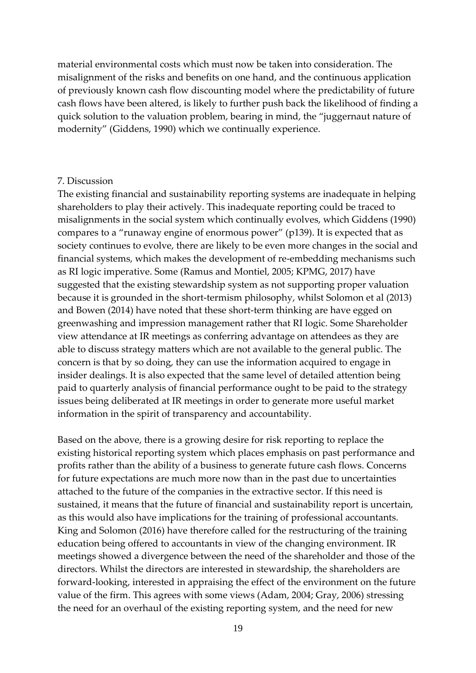material environmental costs which must now be taken into consideration. The misalignment of the risks and benefits on one hand, and the continuous application of previously known cash flow discounting model where the predictability of future cash flows have been altered, is likely to further push back the likelihood of finding a quick solution to the valuation problem, bearing in mind, the "juggernaut nature of modernity" (Giddens, 1990) which we continually experience.

### 7. Discussion

The existing financial and sustainability reporting systems are inadequate in helping shareholders to play their actively. This inadequate reporting could be traced to misalignments in the social system which continually evolves, which Giddens (1990) compares to a "runaway engine of enormous power" (p139). It is expected that as society continues to evolve, there are likely to be even more changes in the social and financial systems, which makes the development of re-embedding mechanisms such as RI logic imperative. Some (Ramus and Montiel, 2005; KPMG, 2017) have suggested that the existing stewardship system as not supporting proper valuation because it is grounded in the short-termism philosophy, whilst Solomon et al (2013) and Bowen (2014) have noted that these short-term thinking are have egged on greenwashing and impression management rather that RI logic. Some Shareholder view attendance at IR meetings as conferring advantage on attendees as they are able to discuss strategy matters which are not available to the general public. The concern is that by so doing, they can use the information acquired to engage in insider dealings. It is also expected that the same level of detailed attention being paid to quarterly analysis of financial performance ought to be paid to the strategy issues being deliberated at IR meetings in order to generate more useful market information in the spirit of transparency and accountability.

Based on the above, there is a growing desire for risk reporting to replace the existing historical reporting system which places emphasis on past performance and profits rather than the ability of a business to generate future cash flows. Concerns for future expectations are much more now than in the past due to uncertainties attached to the future of the companies in the extractive sector. If this need is sustained, it means that the future of financial and sustainability report is uncertain, as this would also have implications for the training of professional accountants. King and Solomon (2016) have therefore called for the restructuring of the training education being offered to accountants in view of the changing environment. IR meetings showed a divergence between the need of the shareholder and those of the directors. Whilst the directors are interested in stewardship, the shareholders are forward-looking, interested in appraising the effect of the environment on the future value of the firm. This agrees with some views (Adam, 2004; Gray, 2006) stressing the need for an overhaul of the existing reporting system, and the need for new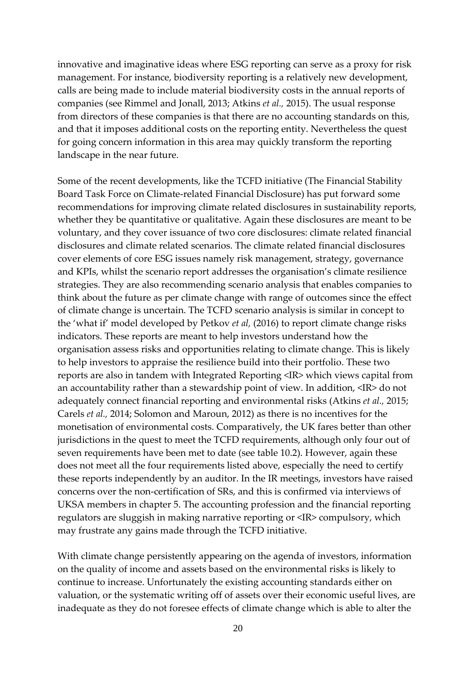innovative and imaginative ideas where ESG reporting can serve as a proxy for risk management. For instance, biodiversity reporting is a relatively new development, calls are being made to include material biodiversity costs in the annual reports of companies (see Rimmel and Jonall, 2013; Atkins *et al.,* 2015). The usual response from directors of these companies is that there are no accounting standards on this, and that it imposes additional costs on the reporting entity. Nevertheless the quest for going concern information in this area may quickly transform the reporting landscape in the near future.

Some of the recent developments, like the TCFD initiative (The Financial Stability Board Task Force on Climate-related Financial Disclosure) has put forward some recommendations for improving climate related disclosures in sustainability reports, whether they be quantitative or qualitative. Again these disclosures are meant to be voluntary, and they cover issuance of two core disclosures: climate related financial disclosures and climate related scenarios. The climate related financial disclosures cover elements of core ESG issues namely risk management, strategy, governance and KPIs, whilst the scenario report addresses the organisation's climate resilience strategies. They are also recommending scenario analysis that enables companies to think about the future as per climate change with range of outcomes since the effect of climate change is uncertain. The TCFD scenario analysis is similar in concept to the 'what if' model developed by Petkov *et al,* (2016) to report climate change risks indicators. These reports are meant to help investors understand how the organisation assess risks and opportunities relating to climate change. This is likely to help investors to appraise the resilience build into their portfolio. These two reports are also in tandem with Integrated Reporting <IR> which views capital from an accountability rather than a stewardship point of view. In addition, <IR> do not adequately connect financial reporting and environmental risks (Atkins *et al.,* 2015; Carels *et al.,* 2014; Solomon and Maroun, 2012) as there is no incentives for the monetisation of environmental costs. Comparatively, the UK fares better than other jurisdictions in the quest to meet the TCFD requirements, although only four out of seven requirements have been met to date (see table 10.2). However, again these does not meet all the four requirements listed above, especially the need to certify these reports independently by an auditor. In the IR meetings, investors have raised concerns over the non-certification of SRs, and this is confirmed via interviews of UKSA members in chapter 5. The accounting profession and the financial reporting regulators are sluggish in making narrative reporting or <IR> compulsory, which may frustrate any gains made through the TCFD initiative.

With climate change persistently appearing on the agenda of investors, information on the quality of income and assets based on the environmental risks is likely to continue to increase. Unfortunately the existing accounting standards either on valuation, or the systematic writing off of assets over their economic useful lives, are inadequate as they do not foresee effects of climate change which is able to alter the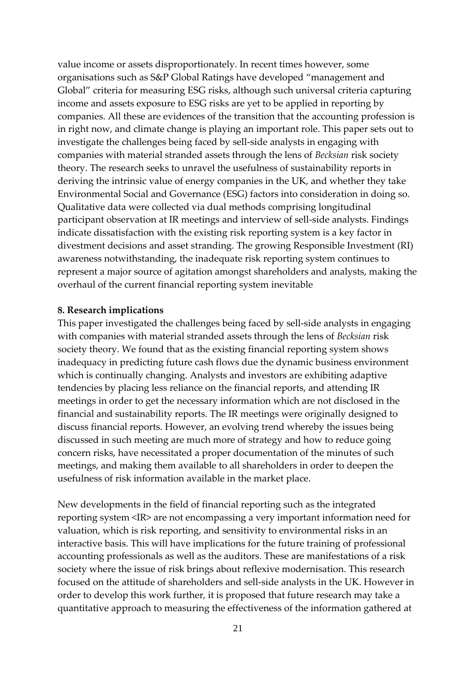value income or assets disproportionately. In recent times however, some organisations such as S&P Global Ratings have developed "management and Global" criteria for measuring ESG risks, although such universal criteria capturing income and assets exposure to ESG risks are yet to be applied in reporting by companies. All these are evidences of the transition that the accounting profession is in right now, and climate change is playing an important role. This paper sets out to investigate the challenges being faced by sell-side analysts in engaging with companies with material stranded assets through the lens of *Becksian* risk society theory. The research seeks to unravel the usefulness of sustainability reports in deriving the intrinsic value of energy companies in the UK, and whether they take Environmental Social and Governance (ESG) factors into consideration in doing so. Qualitative data were collected via dual methods comprising longitudinal participant observation at IR meetings and interview of sell-side analysts. Findings indicate dissatisfaction with the existing risk reporting system is a key factor in divestment decisions and asset stranding. The growing Responsible Investment (RI) awareness notwithstanding, the inadequate risk reporting system continues to represent a major source of agitation amongst shareholders and analysts, making the overhaul of the current financial reporting system inevitable

## **8. Research implications**

This paper investigated the challenges being faced by sell-side analysts in engaging with companies with material stranded assets through the lens of *Becksian* risk society theory. We found that as the existing financial reporting system shows inadequacy in predicting future cash flows due the dynamic business environment which is continually changing. Analysts and investors are exhibiting adaptive tendencies by placing less reliance on the financial reports, and attending IR meetings in order to get the necessary information which are not disclosed in the financial and sustainability reports. The IR meetings were originally designed to discuss financial reports. However, an evolving trend whereby the issues being discussed in such meeting are much more of strategy and how to reduce going concern risks, have necessitated a proper documentation of the minutes of such meetings, and making them available to all shareholders in order to deepen the usefulness of risk information available in the market place.

New developments in the field of financial reporting such as the integrated reporting system <IR> are not encompassing a very important information need for valuation, which is risk reporting, and sensitivity to environmental risks in an interactive basis. This will have implications for the future training of professional accounting professionals as well as the auditors. These are manifestations of a risk society where the issue of risk brings about reflexive modernisation. This research focused on the attitude of shareholders and sell-side analysts in the UK. However in order to develop this work further, it is proposed that future research may take a quantitative approach to measuring the effectiveness of the information gathered at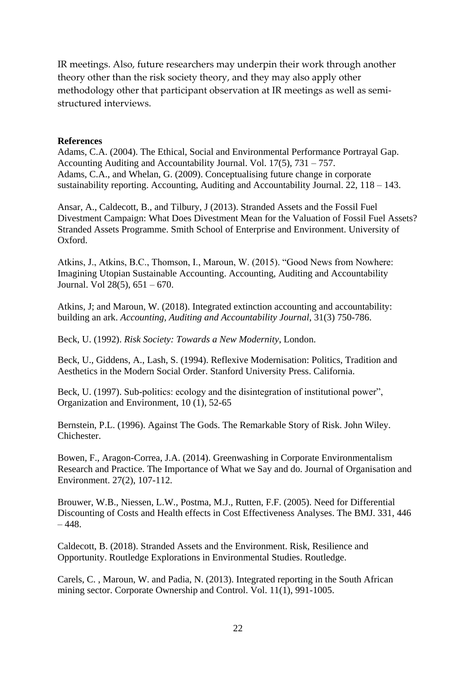IR meetings. Also, future researchers may underpin their work through another theory other than the risk society theory, and they may also apply other methodology other that participant observation at IR meetings as well as semistructured interviews.

### **References**

Adams, C.A. (2004). The Ethical, Social and Environmental Performance Portrayal Gap. Accounting Auditing and Accountability Journal. Vol. 17(5), 731 – 757. Adams, C.A., and Whelan, G. (2009). Conceptualising future change in corporate sustainability reporting. Accounting, Auditing and Accountability Journal. 22, 118 – 143.

Ansar, A., Caldecott, B., and Tilbury, J (2013). Stranded Assets and the Fossil Fuel Divestment Campaign: What Does Divestment Mean for the Valuation of Fossil Fuel Assets? Stranded Assets Programme. Smith School of Enterprise and Environment. University of Oxford.

Atkins, J., Atkins, B.C., Thomson, I., Maroun, W. (2015). "Good News from Nowhere: Imagining Utopian Sustainable Accounting. Accounting, Auditing and Accountability Journal. Vol 28(5), 651 – 670.

Atkins, J; and Maroun, W. (2018). Integrated extinction accounting and accountability: building an ark. *Accounting, Auditing and Accountability Journal*, 31(3) 750-786.

Beck, U. (1992). *Risk Society: Towards a New Modernity*, London.

Beck, U., Giddens, A., Lash, S. (1994). Reflexive Modernisation: Politics, Tradition and Aesthetics in the Modern Social Order. Stanford University Press. California.

Beck, U. (1997). Sub-politics: ecology and the disintegration of institutional power", Organization and Environment, 10 (1), 52-65

Bernstein, P.L. (1996). Against The Gods. The Remarkable Story of Risk. John Wiley. Chichester.

Bowen, F., Aragon-Correa, J.A. (2014). Greenwashing in Corporate Environmentalism Research and Practice. The Importance of What we Say and do. Journal of Organisation and Environment. 27(2), 107-112.

Brouwer, W.B., Niessen, L.W., Postma, M.J., Rutten, F.F. (2005). Need for Differential Discounting of Costs and Health effects in Cost Effectiveness Analyses. The BMJ. 331, 446  $-448.$ 

Caldecott, B. (2018). Stranded Assets and the Environment. Risk, Resilience and Opportunity. Routledge Explorations in Environmental Studies. Routledge.

Carels, C. , Maroun, W. and Padia, N. (2013). Integrated reporting in the South African mining sector. Corporate Ownership and Control. Vol. 11(1), 991-1005.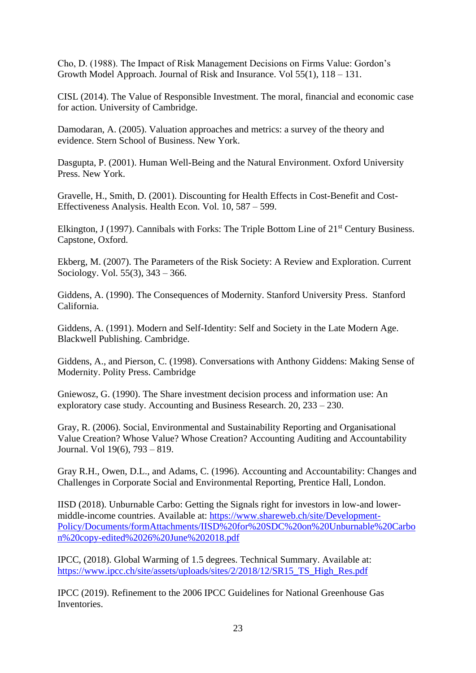Cho, D. (1988). The Impact of Risk Management Decisions on Firms Value: Gordon's Growth Model Approach. Journal of Risk and Insurance. Vol 55(1), 118 – 131.

CISL (2014). The Value of Responsible Investment. The moral, financial and economic case for action. University of Cambridge.

Damodaran, A. (2005). Valuation approaches and metrics: a survey of the theory and evidence. Stern School of Business. New York.

Dasgupta, P. (2001). Human Well-Being and the Natural Environment. Oxford University Press. New York.

Gravelle, H., Smith, D. (2001). Discounting for Health Effects in Cost-Benefit and Cost-Effectiveness Analysis. Health Econ. Vol. 10, 587 – 599.

Elkington, J (1997). Cannibals with Forks: The Triple Bottom Line of 21<sup>st</sup> Century Business. Capstone, Oxford.

Ekberg, M. (2007). The Parameters of the Risk Society: A Review and Exploration. Current Sociology. Vol. 55(3), 343 – 366.

Giddens, A. (1990). The Consequences of Modernity. Stanford University Press. Stanford California.

Giddens, A. (1991). Modern and Self-Identity: Self and Society in the Late Modern Age. Blackwell Publishing. Cambridge.

Giddens, A., and Pierson, C. (1998). Conversations with Anthony Giddens: Making Sense of Modernity. Polity Press. Cambridge

Gniewosz, G. (1990). The Share investment decision process and information use: An exploratory case study. Accounting and Business Research. 20, 233 – 230.

Gray, R. (2006). Social, Environmental and Sustainability Reporting and Organisational Value Creation? Whose Value? Whose Creation? Accounting Auditing and Accountability Journal. Vol 19(6), 793 – 819.

Gray R.H., Owen, D.L., and Adams, C. (1996). Accounting and Accountability: Changes and Challenges in Corporate Social and Environmental Reporting, Prentice Hall, London.

IISD (2018). Unburnable Carbo: Getting the Signals right for investors in low-and lowermiddle-income countries. Available at: [https://www.shareweb.ch/site/Development-](https://www.shareweb.ch/site/Development-Policy/Documents/formAttachments/IISD%20for%20SDC%20on%20Unburnable%20Carbon%20copy-edited%2026%20June%202018.pdf)[Policy/Documents/formAttachments/IISD%20for%20SDC%20on%20Unburnable%20Carbo](https://www.shareweb.ch/site/Development-Policy/Documents/formAttachments/IISD%20for%20SDC%20on%20Unburnable%20Carbon%20copy-edited%2026%20June%202018.pdf) [n%20copy-edited%2026%20June%202018.pdf](https://www.shareweb.ch/site/Development-Policy/Documents/formAttachments/IISD%20for%20SDC%20on%20Unburnable%20Carbon%20copy-edited%2026%20June%202018.pdf)

IPCC, (2018). Global Warming of 1.5 degrees. Technical Summary. Available at: [https://www.ipcc.ch/site/assets/uploads/sites/2/2018/12/SR15\\_TS\\_High\\_Res.pdf](https://www.ipcc.ch/site/assets/uploads/sites/2/2018/12/SR15_TS_High_Res.pdf)

IPCC (2019). Refinement to the 2006 IPCC Guidelines for National Greenhouse Gas Inventories.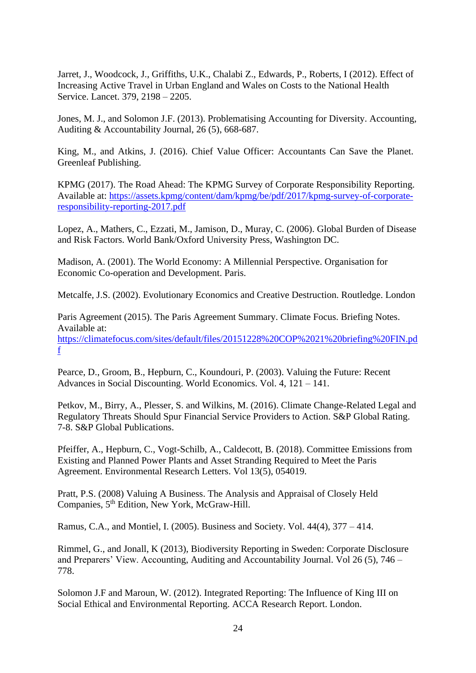Jarret, J., Woodcock, J., Griffiths, U.K., Chalabi Z., Edwards, P., Roberts, I (2012). Effect of Increasing Active Travel in Urban England and Wales on Costs to the National Health Service. Lancet. 379, 2198 – 2205.

Jones, M. J., and Solomon J.F. (2013). Problematising Accounting for Diversity. Accounting, Auditing & Accountability Journal, 26 (5), 668-687.

King, M., and Atkins, J. (2016). Chief Value Officer: Accountants Can Save the Planet. Greenleaf Publishing.

KPMG (2017). The Road Ahead: The KPMG Survey of Corporate Responsibility Reporting. Available at: [https://assets.kpmg/content/dam/kpmg/be/pdf/2017/kpmg-survey-of-corporate](https://assets.kpmg/content/dam/kpmg/be/pdf/2017/kpmg-survey-of-corporate-responsibility-reporting-2017.pdf)[responsibility-reporting-2017.pdf](https://assets.kpmg/content/dam/kpmg/be/pdf/2017/kpmg-survey-of-corporate-responsibility-reporting-2017.pdf)

Lopez, A., Mathers, C., Ezzati, M., Jamison, D., Muray, C. (2006). Global Burden of Disease and Risk Factors. World Bank/Oxford University Press, Washington DC.

Madison, A. (2001). The World Economy: A Millennial Perspective. Organisation for Economic Co-operation and Development. Paris.

Metcalfe, J.S. (2002). Evolutionary Economics and Creative Destruction. Routledge. London

Paris Agreement (2015). The Paris Agreement Summary. Climate Focus. Briefing Notes. Available at: [https://climatefocus.com/sites/default/files/20151228%20COP%2021%20briefing%20FIN.pd](https://climatefocus.com/sites/default/files/20151228%20COP%2021%20briefing%20FIN.pdf) [f](https://climatefocus.com/sites/default/files/20151228%20COP%2021%20briefing%20FIN.pdf)

Pearce, D., Groom, B., Hepburn, C., Koundouri, P. (2003). Valuing the Future: Recent Advances in Social Discounting. World Economics. Vol. 4, 121 – 141.

Petkov, M., Birry, A., Plesser, S. and Wilkins, M. (2016). Climate Change-Related Legal and Regulatory Threats Should Spur Financial Service Providers to Action. S&P Global Rating. 7-8. S&P Global Publications.

Pfeiffer, A., Hepburn, C., Vogt-Schilb, A., Caldecott, B. (2018). Committee Emissions from Existing and Planned Power Plants and Asset Stranding Required to Meet the Paris Agreement. Environmental Research Letters. Vol 13(5), 054019.

Pratt, P.S. (2008) Valuing A Business. The Analysis and Appraisal of Closely Held Companies, 5<sup>th</sup> Edition, New York, McGraw-Hill.

Ramus, C.A., and Montiel, I. (2005). Business and Society. Vol. 44(4), 377 – 414.

Rimmel, G., and Jonall, K (2013), Biodiversity Reporting in Sweden: Corporate Disclosure and Preparers' View. Accounting, Auditing and Accountability Journal. Vol 26 (5), 746 – 778.

Solomon J.F and Maroun, W. (2012). Integrated Reporting: The Influence of King III on Social Ethical and Environmental Reporting. ACCA Research Report. London.